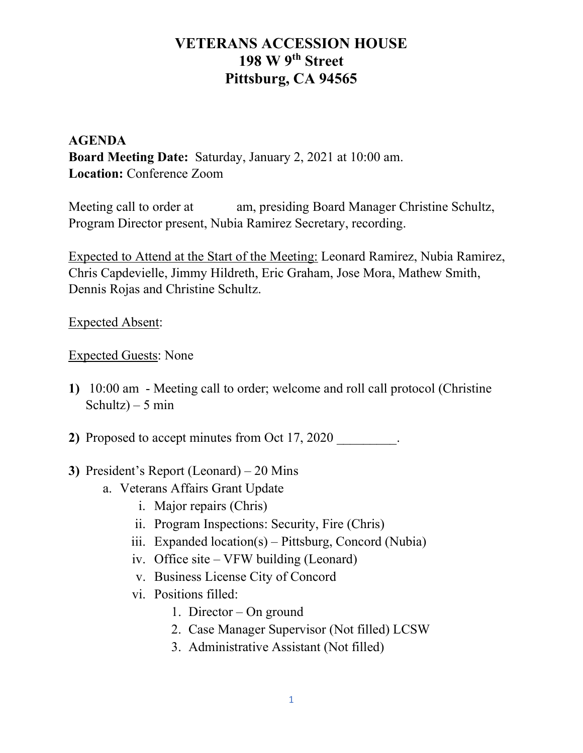# VETERANS ACCESSION HOUSE 198 W 9<sup>th</sup> Street Pittsburg, CA 94565

### AGENDA Board Meeting Date: Saturday, January 2, 2021 at 10:00 am. Location: Conference Zoom

Meeting call to order at am, presiding Board Manager Christine Schultz, Program Director present, Nubia Ramirez Secretary, recording.

Expected to Attend at the Start of the Meeting: Leonard Ramirez, Nubia Ramirez, Chris Capdevielle, Jimmy Hildreth, Eric Graham, Jose Mora, Mathew Smith, Dennis Rojas and Christine Schultz.

Expected Absent:

### Expected Guests: None

1) 10:00 am - Meeting call to order; welcome and roll call protocol (Christine Schultz $) - 5$  min

2) Proposed to accept minutes from Oct 17, 2020 .

#### 3) President's Report (Leonard) – 20 Mins

- a. Veterans Affairs Grant Update
	- i. Major repairs (Chris)
	- ii. Program Inspections: Security, Fire (Chris)
	- iii. Expanded location(s) Pittsburg, Concord (Nubia)
	- iv. Office site VFW building (Leonard)
	- v. Business License City of Concord
	- vi. Positions filled:
		- 1. Director On ground
		- 2. Case Manager Supervisor (Not filled) LCSW
		- 3. Administrative Assistant (Not filled)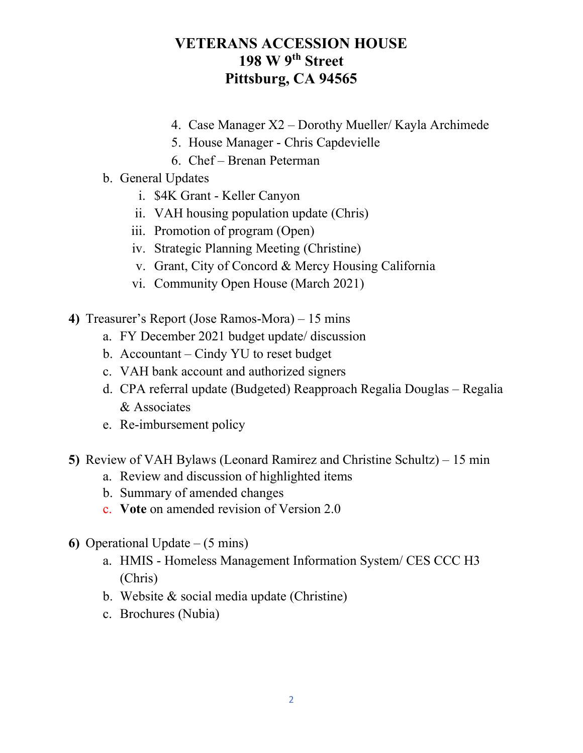## VETERANS ACCESSION HOUSE 198 W 9<sup>th</sup> Street Pittsburg, CA 94565

- 4. Case Manager X2 Dorothy Mueller/ Kayla Archimede
- 5. House Manager Chris Capdevielle
- 6. Chef Brenan Peterman
- b. General Updates
	- i. \$4K Grant Keller Canyon
	- ii. VAH housing population update (Chris)
	- iii. Promotion of program (Open)
	- iv. Strategic Planning Meeting (Christine)
	- v. Grant, City of Concord & Mercy Housing California
	- vi. Community Open House (March 2021)
- 4) Treasurer's Report (Jose Ramos-Mora) 15 mins
	- a. FY December 2021 budget update/ discussion
	- b. Accountant Cindy YU to reset budget
	- c. VAH bank account and authorized signers
	- d. CPA referral update (Budgeted) Reapproach Regalia Douglas Regalia & Associates
	- e. Re-imbursement policy
- 5) Review of VAH Bylaws (Leonard Ramirez and Christine Schultz) 15 min
	- a. Review and discussion of highlighted items
	- b. Summary of amended changes
	- c. Vote on amended revision of Version 2.0
- 6) Operational Update  $-$  (5 mins)
	- a. HMIS Homeless Management Information System/ CES CCC H3 (Chris)
	- b. Website & social media update (Christine)
	- c. Brochures (Nubia)